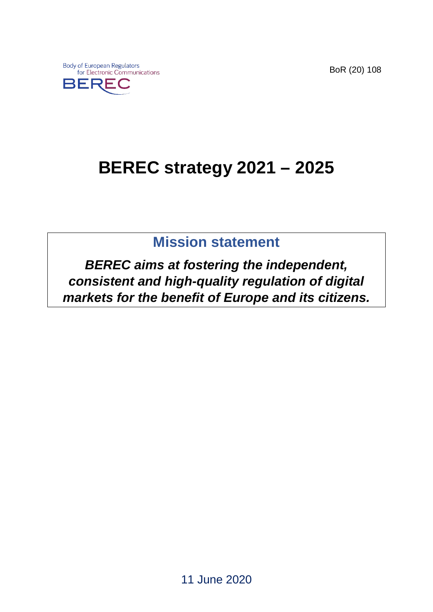BoR (20) 108

**Body of European Regulators** for Electronic Communications BER

# **BEREC strategy 2021 – 2025**

**Mission statement**

*BEREC aims at fostering the independent, consistent and high-quality regulation of digital markets for the benefit of Europe and its citizens.*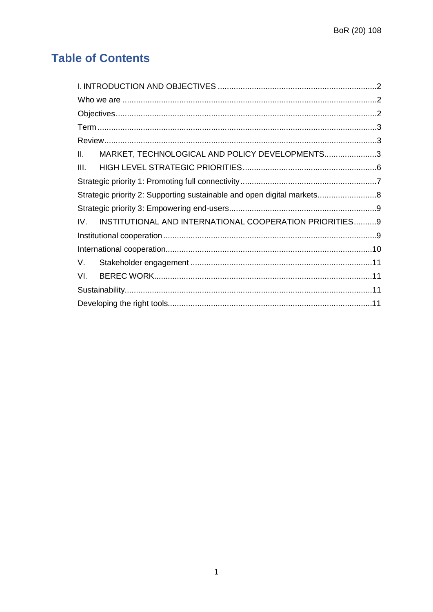# **Table of Contents**

| Ⅱ.                                                                      | MARKET, TECHNOLOGICAL AND POLICY DEVELOPMENTS3           |  |
|-------------------------------------------------------------------------|----------------------------------------------------------|--|
| III.                                                                    |                                                          |  |
|                                                                         |                                                          |  |
| Strategic priority 2: Supporting sustainable and open digital markets 8 |                                                          |  |
|                                                                         |                                                          |  |
| IV.                                                                     | INSTITUTIONAL AND INTERNATIONAL COOPERATION PRIORITIES 9 |  |
|                                                                         |                                                          |  |
|                                                                         |                                                          |  |
|                                                                         |                                                          |  |
| VI.                                                                     |                                                          |  |
|                                                                         |                                                          |  |
|                                                                         |                                                          |  |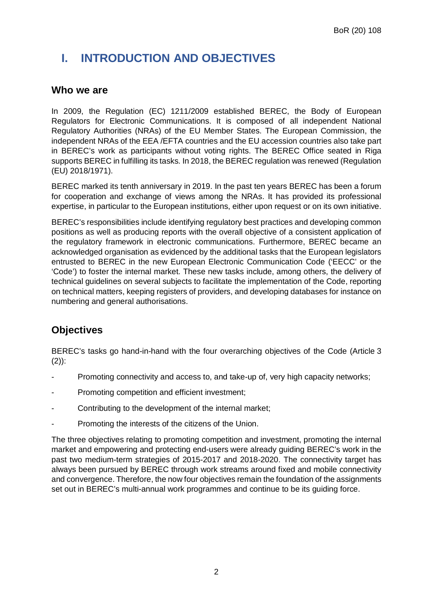## <span id="page-2-0"></span>**I. INTRODUCTION AND OBJECTIVES**

#### <span id="page-2-1"></span>**Who we are**

In 2009, the Regulation (EC) 1211/2009 established BEREC, the Body of European Regulators for Electronic Communications. It is composed of all independent National Regulatory Authorities (NRAs) of the EU Member States. The European Commission, the independent NRAs of the EEA /EFTA countries and the EU accession countries also take part in BEREC's work as participants without voting rights. The BEREC Office seated in Riga supports BEREC in fulfilling its tasks. In 2018, the BEREC regulation was renewed (Regulation (EU) 2018/1971).

BEREC marked its tenth anniversary in 2019. In the past ten years BEREC has been a forum for cooperation and exchange of views among the NRAs. It has provided its professional expertise, in particular to the European institutions, either upon request or on its own initiative.

BEREC's responsibilities include identifying regulatory best practices and developing common positions as well as producing reports with the overall objective of a consistent application of the regulatory framework in electronic communications. Furthermore, BEREC became an acknowledged organisation as evidenced by the additional tasks that the European legislators entrusted to BEREC in the new European Electronic Communication Code ('EECC' or the 'Code') to foster the internal market. These new tasks include, among others, the delivery of technical guidelines on several subjects to facilitate the implementation of the Code, reporting on technical matters, keeping registers of providers, and developing databases for instance on numbering and general authorisations.

### <span id="page-2-2"></span>**Objectives**

BEREC's tasks go hand-in-hand with the four overarching objectives of the Code (Article 3  $(2)$ :

- Promoting connectivity and access to, and take-up of, very high capacity networks;
- Promoting competition and efficient investment;
- Contributing to the development of the internal market;
- Promoting the interests of the citizens of the Union.

The three objectives relating to promoting competition and investment, promoting the internal market and empowering and protecting end-users were already guiding BEREC's work in the past two medium-term strategies of 2015-2017 and 2018-2020. The connectivity target has always been pursued by BEREC through work streams around fixed and mobile connectivity and convergence. Therefore, the now four objectives remain the foundation of the assignments set out in BEREC's multi-annual work programmes and continue to be its guiding force.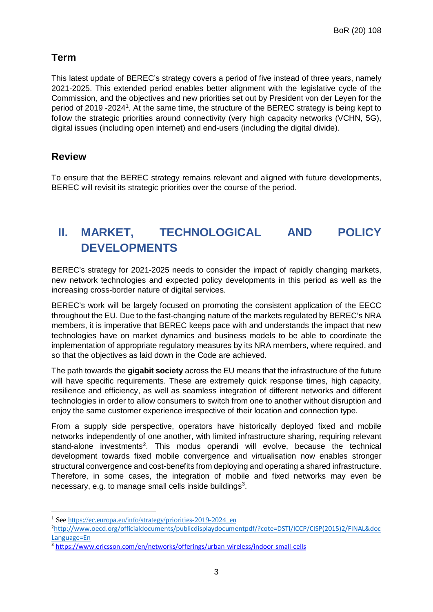## <span id="page-3-0"></span>**Term**

This latest update of BEREC's strategy covers a period of five instead of three years, namely 2021-2025. This extended period enables better alignment with the legislative cycle of the Commission, and the objectives and new priorities set out by President von der Leyen for the period of 20[1](#page-3-3)9 -2024<sup>1</sup>. At the same time, the structure of the BEREC strategy is being kept to follow the strategic priorities around connectivity (very high capacity networks (VCHN, 5G), digital issues (including open internet) and end-users (including the digital divide).

### <span id="page-3-1"></span>**Review**

To ensure that the BEREC strategy remains relevant and aligned with future developments, BEREC will revisit its strategic priorities over the course of the period.

## <span id="page-3-2"></span>**II. MARKET, TECHNOLOGICAL AND POLICY DEVELOPMENTS**

BEREC's strategy for 2021-2025 needs to consider the impact of rapidly changing markets, new network technologies and expected policy developments in this period as well as the increasing cross-border nature of digital services.

BEREC's work will be largely focused on promoting the consistent application of the EECC throughout the EU. Due to the fast-changing nature of the markets regulated by BEREC's NRA members, it is imperative that BEREC keeps pace with and understands the impact that new technologies have on market dynamics and business models to be able to coordinate the implementation of appropriate regulatory measures by its NRA members, where required, and so that the objectives as laid down in the Code are achieved.

The path towards the **gigabit society** across the EU means that the infrastructure of the future will have specific requirements. These are extremely quick response times, high capacity, resilience and efficiency, as well as seamless integration of different networks and different technologies in order to allow consumers to switch from one to another without disruption and enjoy the same customer experience irrespective of their location and connection type.

From a supply side perspective, operators have historically deployed fixed and mobile networks independently of one another, with limited infrastructure sharing, requiring relevant stand-alone investments<sup>[2](#page-3-4)</sup>. This modus operandi will evolve, because the technical development towards fixed mobile convergence and virtualisation now enables stronger structural convergence and cost-benefits from deploying and operating a shared infrastructure. Therefore, in some cases, the integration of mobile and fixed networks may even be necessary, e.g. to manage small cells inside buildings<sup>[3](#page-3-5)</sup>.

<span id="page-3-3"></span> $\overline{a}$ <sup>1</sup> See https://ec.europa.eu/info/strategy/priorities-2019-2024 en

<span id="page-3-4"></span><sup>2</sup> [http://www.oecd.org/officialdocuments/publicdisplaydocumentpdf/?cote=DSTI/ICCP/CISP\(2015\)2/FINAL&doc](http://www.oecd.org/officialdocuments/publicdisplaydocumentpdf/?cote=DSTI/ICCP/CISP(2015)2/FINAL&docLanguage=En) [Language=En](http://www.oecd.org/officialdocuments/publicdisplaydocumentpdf/?cote=DSTI/ICCP/CISP(2015)2/FINAL&docLanguage=En)

<span id="page-3-5"></span><sup>3</sup> <https://www.ericsson.com/en/networks/offerings/urban-wireless/indoor-small-cells>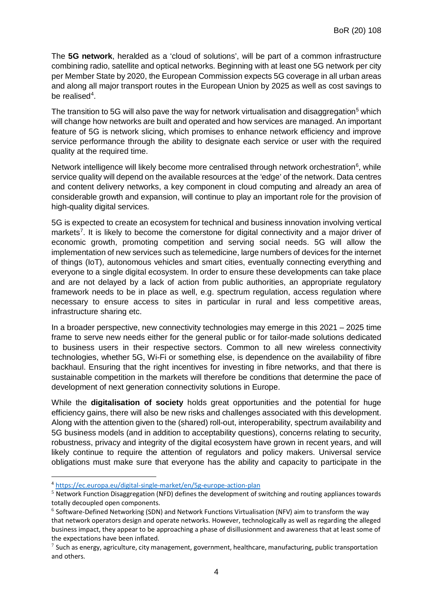The **5G network**, heralded as a 'cloud of solutions', will be part of a common infrastructure combining radio, satellite and optical networks. Beginning with at least one 5G network per city per Member State by 2020, the European Commission expects 5G coverage in all urban areas and along all major transport routes in the European Union by 2025 as well as cost savings to be realised<sup>[4](#page-4-0)</sup>.

The transition to [5](#page-4-1)G will also pave the way for network virtualisation and disaggregation<sup>5</sup> which will change how networks are built and operated and how services are managed. An important feature of 5G is network slicing, which promises to enhance network efficiency and improve service performance through the ability to designate each service or user with the required quality at the required time.

Network intelligence will likely become more centralised through network orchestration<sup>[6](#page-4-2)</sup>, while service quality will depend on the available resources at the 'edge' of the network. Data centres and content delivery networks, a key component in cloud computing and already an area of considerable growth and expansion, will continue to play an important role for the provision of high-quality digital services.

5G is expected to create an ecosystem for technical and business innovation involving vertical markets<sup>7</sup>. It is likely to become the cornerstone for digital connectivity and a major driver of economic growth, promoting competition and serving social needs. 5G will allow the implementation of new services such as telemedicine, large numbers of devices for the internet of things (IoT), autonomous vehicles and smart cities, eventually connecting everything and everyone to a single digital ecosystem. In order to ensure these developments can take place and are not delayed by a lack of action from public authorities, an appropriate regulatory framework needs to be in place as well, e.g. spectrum regulation, access regulation where necessary to ensure access to sites in particular in rural and less competitive areas, infrastructure sharing etc.

In a broader perspective, new connectivity technologies may emerge in this 2021 – 2025 time frame to serve new needs either for the general public or for tailor-made solutions dedicated to business users in their respective sectors. Common to all new wireless connectivity technologies, whether 5G, Wi-Fi or something else, is dependence on the availability of fibre backhaul. Ensuring that the right incentives for investing in fibre networks, and that there is sustainable competition in the markets will therefore be conditions that determine the pace of development of next generation connectivity solutions in Europe.

While the **digitalisation of society** holds great opportunities and the potential for huge efficiency gains, there will also be new risks and challenges associated with this development. Along with the attention given to the (shared) roll-out, interoperability, spectrum availability and 5G business models (and in addition to acceptability questions), concerns relating to security, robustness, privacy and integrity of the digital ecosystem have grown in recent years, and will likely continue to require the attention of regulators and policy makers. Universal service obligations must make sure that everyone has the ability and capacity to participate in the

<span id="page-4-0"></span> <sup>4</sup> <https://ec.europa.eu/digital-single-market/en/5g-europe-action-plan>

<span id="page-4-1"></span><sup>5</sup> Network Function Disaggregation (NFD) defines the development of switching and routing appliances towards totally decoupled open components.

<span id="page-4-2"></span> $6$  Software-Defined Networking (SDN) and Network Functions Virtualisation (NFV) aim to transform the way that network operators design and operate networks. However, technologically as well as regarding the alleged business impact, they appear to be approaching a phase of disillusionment and awareness that at least some of the expectations have been inflated.

<span id="page-4-3"></span> $7$  Such as energy, agriculture, city management, government, healthcare, manufacturing, public transportation and others.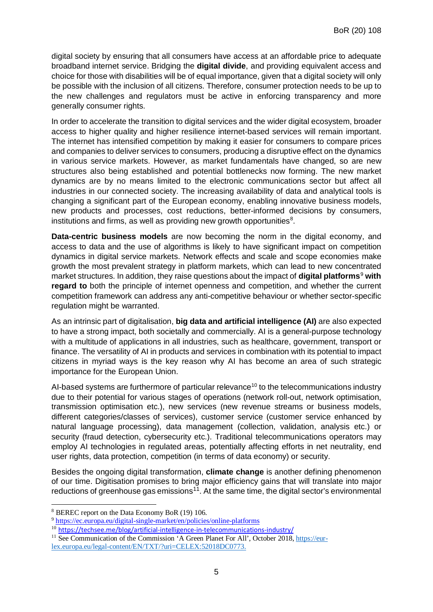digital society by ensuring that all consumers have access at an affordable price to adequate broadband internet service. Bridging the **digital divide**, and providing equivalent access and choice for those with disabilities will be of equal importance, given that a digital society will only be possible with the inclusion of all citizens. Therefore, consumer protection needs to be up to the new challenges and regulators must be active in enforcing transparency and more generally consumer rights.

In order to accelerate the transition to digital services and the wider digital ecosystem, broader access to higher quality and higher resilience internet-based services will remain important. The internet has intensified competition by making it easier for consumers to compare prices and companies to deliver services to consumers, producing a disruptive effect on the dynamics in various service markets. However, as market fundamentals have changed, so are new structures also being established and potential bottlenecks now forming. The new market dynamics are by no means limited to the electronic communications sector but affect all industries in our connected society. The increasing availability of data and analytical tools is changing a significant part of the European economy, enabling innovative business models, new products and processes, cost reductions, better-informed decisions by consumers, institutions and firms, as well as providing new growth opportunities ${}^{8}$  ${}^{8}$  ${}^{8}$ .

**Data-centric business models** are now becoming the norm in the digital economy, and access to data and the use of algorithms is likely to have significant impact on competition dynamics in digital service markets. Network effects and scale and scope economies make growth the most prevalent strategy in platform markets, which can lead to new concentrated market structures. In addition, they raise questions about the impact of **digital platforms**[9](#page-5-1) **with regard to** both the principle of internet openness and competition, and whether the current competition framework can address any anti-competitive behaviour or whether sector-specific regulation might be warranted.

As an intrinsic part of digitalisation, **big data and artificial intelligence (AI)** are also expected to have a strong impact, both societally and commercially. AI is a general-purpose technology with a multitude of applications in all industries, such as healthcare, government, transport or finance. The versatility of AI in products and services in combination with its potential to impact citizens in myriad ways is the key reason why AI has become an area of such strategic importance for the European Union.

AI-based systems are furthermore of particular relevance<sup>[10](#page-5-2)</sup> to the telecommunications industry due to their potential for various stages of operations (network roll-out, network optimisation, transmission optimisation etc.), new services (new revenue streams or business models, different categories/classes of services), customer service (customer service enhanced by natural language processing), data management (collection, validation, analysis etc.) or security (fraud detection, cybersecurity etc.). Traditional telecommunications operators may employ AI technologies in regulated areas, potentially affecting efforts in net neutrality, end user rights, data protection, competition (in terms of data economy) or security.

Besides the ongoing digital transformation, **climate change** is another defining phenomenon of our time. Digitisation promises to bring major efficiency gains that will translate into major reductions of greenhouse gas emissions<sup>[11](#page-5-3)</sup>. At the same time, the digital sector's environmental

 $\overline{a}$ 

<span id="page-5-0"></span><sup>8</sup> BEREC report on the Data Economy BoR (19) 106.

<span id="page-5-1"></span><sup>9</sup> <https://ec.europa.eu/digital-single-market/en/policies/online-platforms>

<span id="page-5-2"></span><sup>10</sup> <https://techsee.me/blog/artificial-intelligence-in-telecommunications-industry/>

<span id="page-5-3"></span><sup>&</sup>lt;sup>11</sup> See Communication of the Commission 'A Green Planet For All', October 2018, [https://eur-](https://eur-lex.europa.eu/legal-content/EN/TXT/?uri=CELEX:52018DC0773)

[lex.europa.eu/legal-content/EN/TXT/?uri=CELEX:52018DC0773.](https://eur-lex.europa.eu/legal-content/EN/TXT/?uri=CELEX:52018DC0773)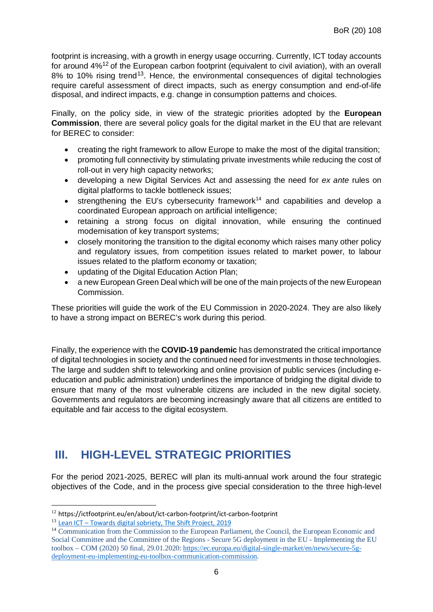footprint is increasing, with a growth in energy usage occurring. Currently, ICT today accounts for around 4%[12](#page-6-1) of the European carbon footprint (equivalent to civil aviation), with an overall 8% to 10% rising trend<sup>13</sup>. Hence, the environmental consequences of digital technologies require careful assessment of direct impacts, such as energy consumption and end-of-life disposal, and indirect impacts, e.g. change in consumption patterns and choices.

Finally, on the policy side, in view of the strategic priorities adopted by the **European Commission**, there are several policy goals for the digital market in the EU that are relevant for BEREC to consider:

- creating the right framework to allow Europe to make the most of the digital transition;
- promoting full connectivity by stimulating private investments while reducing the cost of roll-out in very high capacity networks;
- developing a new Digital Services Act and assessing the need for *ex ante* rules on digital platforms to tackle bottleneck issues;
- strengthening the EU's cybersecurity framework<sup>[14](#page-6-3)</sup> and capabilities and develop a coordinated European approach on artificial intelligence;
- retaining a strong focus on digital innovation, while ensuring the continued modernisation of key transport systems;
- closely monitoring the transition to the digital economy which raises many other policy and regulatory issues, from competition issues related to market power, to labour issues related to the platform economy or taxation;
- updating of the Digital Education Action Plan;
- a new European Green Deal which will be one of the main projects of the new European Commission.

These priorities will guide the work of the EU Commission in 2020-2024. They are also likely to have a strong impact on BEREC's work during this period.

Finally, the experience with the **COVID-19 pandemic** has demonstrated the critical importance of digital technologies in society and the continued need for investments in those technologies. The large and sudden shift to teleworking and online provision of public services (including eeducation and public administration) underlines the importance of bridging the digital divide to ensure that many of the most vulnerable citizens are included in the new digital society. Governments and regulators are becoming increasingly aware that all citizens are entitled to equitable and fair access to the digital ecosystem.

# <span id="page-6-0"></span>**III. HIGH-LEVEL STRATEGIC PRIORITIES**

For the period 2021-2025, BEREC will plan its multi-annual work around the four strategic objectives of the Code, and in the process give special consideration to the three high-level

 $\overline{a}$ 

<span id="page-6-1"></span><sup>12</sup> https://ictfootprint.eu/en/about/ict-carbon-footprint/ict-carbon-footprint

<span id="page-6-2"></span><sup>13</sup> Lean ICT – [Towards digital sobriety, The Shift Project, 2019](https://theshiftproject.org/wp-content/uploads/2019/03/Lean-ICT-Report_The-Shift-Project_2019.pdf)

<span id="page-6-3"></span><sup>&</sup>lt;sup>14</sup> Communication from the Commission to the European Parliament, the Council, the European Economic and Social Committee and the Committee of the Regions - Secure 5G deployment in the EU - Implementing the EU toolbox – COM (2020) 50 final, 29.01.2020: [https://ec.europa.eu/digital-single-market/en/news/secure-5g](https://ec.europa.eu/digital-single-market/en/news/secure-5g-deployment-eu-implementing-eu-toolbox-communication-commission)[deployment-eu-implementing-eu-toolbox-communication-commission.](https://ec.europa.eu/digital-single-market/en/news/secure-5g-deployment-eu-implementing-eu-toolbox-communication-commission)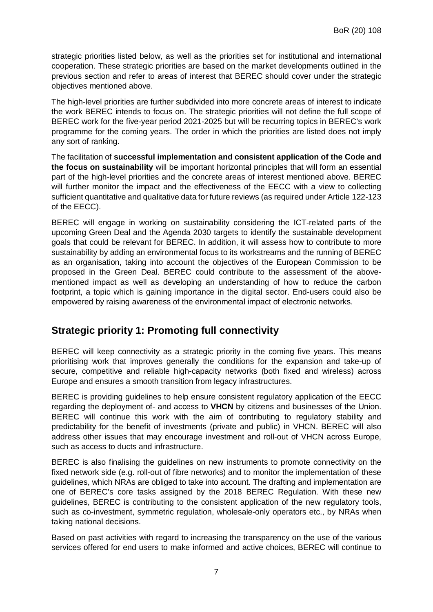strategic priorities listed below, as well as the priorities set for institutional and international cooperation. These strategic priorities are based on the market developments outlined in the previous section and refer to areas of interest that BEREC should cover under the strategic objectives mentioned above.

The high-level priorities are further subdivided into more concrete areas of interest to indicate the work BEREC intends to focus on. The strategic priorities will not define the full scope of BEREC work for the five-year period 2021-2025 but will be recurring topics in BEREC's work programme for the coming years. The order in which the priorities are listed does not imply any sort of ranking.

The facilitation of **successful implementation and consistent application of the Code and the focus on sustainability** will be important horizontal principles that will form an essential part of the high-level priorities and the concrete areas of interest mentioned above. BEREC will further monitor the impact and the effectiveness of the EECC with a view to collecting sufficient quantitative and qualitative data for future reviews (as required under Article 122-123 of the EECC).

BEREC will engage in working on sustainability considering the ICT-related parts of the upcoming Green Deal and the Agenda 2030 targets to identify the sustainable development goals that could be relevant for BEREC. In addition, it will assess how to contribute to more sustainability by adding an environmental focus to its workstreams and the running of BEREC as an organisation, taking into account the objectives of the European Commission to be proposed in the Green Deal. BEREC could contribute to the assessment of the abovementioned impact as well as developing an understanding of how to reduce the carbon footprint, a topic which is gaining importance in the digital sector. End-users could also be empowered by raising awareness of the environmental impact of electronic networks.

### <span id="page-7-0"></span>**Strategic priority 1: Promoting full connectivity**

BEREC will keep connectivity as a strategic priority in the coming five years. This means prioritising work that improves generally the conditions for the expansion and take-up of secure, competitive and reliable high-capacity networks (both fixed and wireless) across Europe and ensures a smooth transition from legacy infrastructures.

BEREC is providing guidelines to help ensure consistent regulatory application of the EECC regarding the deployment of- and access to **VHCN** by citizens and businesses of the Union. BEREC will continue this work with the aim of contributing to regulatory stability and predictability for the benefit of investments (private and public) in VHCN. BEREC will also address other issues that may encourage investment and roll-out of VHCN across Europe, such as access to ducts and infrastructure.

BEREC is also finalising the guidelines on new instruments to promote connectivity on the fixed network side (e.g. roll-out of fibre networks) and to monitor the implementation of these guidelines, which NRAs are obliged to take into account. The drafting and implementation are one of BEREC's core tasks assigned by the 2018 BEREC Regulation. With these new guidelines, BEREC is contributing to the consistent application of the new regulatory tools, such as co-investment, symmetric regulation, wholesale-only operators etc., by NRAs when taking national decisions.

Based on past activities with regard to increasing the transparency on the use of the various services offered for end users to make informed and active choices, BEREC will continue to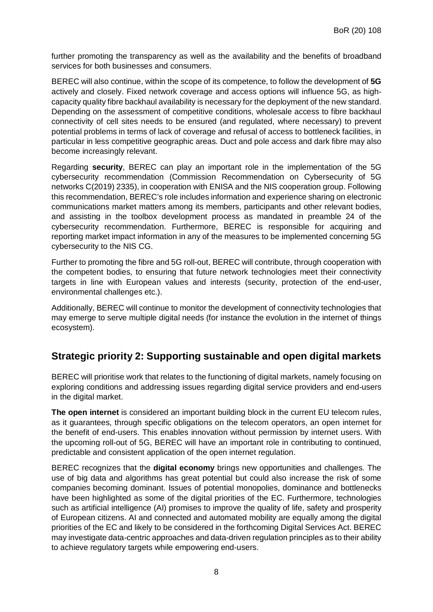further promoting the transparency as well as the availability and the benefits of broadband services for both businesses and consumers.

BEREC will also continue, within the scope of its competence, to follow the development of **5G** actively and closely. Fixed network coverage and access options will influence 5G, as highcapacity quality fibre backhaul availability is necessary for the deployment of the new standard. Depending on the assessment of competitive conditions, wholesale access to fibre backhaul connectivity of cell sites needs to be ensured (and regulated, where necessary) to prevent potential problems in terms of lack of coverage and refusal of access to bottleneck facilities, in particular in less competitive geographic areas. Duct and pole access and dark fibre may also become increasingly relevant.

Regarding **security**, BEREC can play an important role in the implementation of the 5G cybersecurity recommendation (Commission Recommendation on Cybersecurity of 5G networks C(2019) 2335), in cooperation with ENISA and the NIS cooperation group. Following this recommendation, BEREC's role includes information and experience sharing on electronic communications market matters among its members, participants and other relevant bodies, and assisting in the toolbox development process as mandated in preamble 24 of the cybersecurity recommendation. Furthermore, BEREC is responsible for acquiring and reporting market impact information in any of the measures to be implemented concerning 5G cybersecurity to the NIS CG.

Further to promoting the fibre and 5G roll-out, BEREC will contribute, through cooperation with the competent bodies, to ensuring that future network technologies meet their connectivity targets in line with European values and interests (security, protection of the end-user, environmental challenges etc.).

Additionally, BEREC will continue to monitor the development of connectivity technologies that may emerge to serve multiple digital needs (for instance the evolution in the internet of things ecosystem).

### <span id="page-8-0"></span>**Strategic priority 2: Supporting sustainable and open digital markets**

BEREC will prioritise work that relates to the functioning of digital markets, namely focusing on exploring conditions and addressing issues regarding digital service providers and end-users in the digital market.

**The open internet** is considered an important building block in the current EU telecom rules, as it guarantees, through specific obligations on the telecom operators, an open internet for the benefit of end-users. This enables innovation without permission by internet users. With the upcoming roll-out of 5G, BEREC will have an important role in contributing to continued, predictable and consistent application of the open internet regulation.

BEREC recognizes that the **digital economy** brings new opportunities and challenges. The use of big data and algorithms has great potential but could also increase the risk of some companies becoming dominant. Issues of potential monopolies, dominance and bottlenecks have been highlighted as some of the digital priorities of the EC. Furthermore, technologies such as artificial intelligence (AI) promises to improve the quality of life, safety and prosperity of European citizens. AI and connected and automated mobility are equally among the digital priorities of the EC and likely to be considered in the forthcoming Digital Services Act. BEREC may investigate data-centric approaches and data-driven regulation principles as to their ability to achieve regulatory targets while empowering end-users.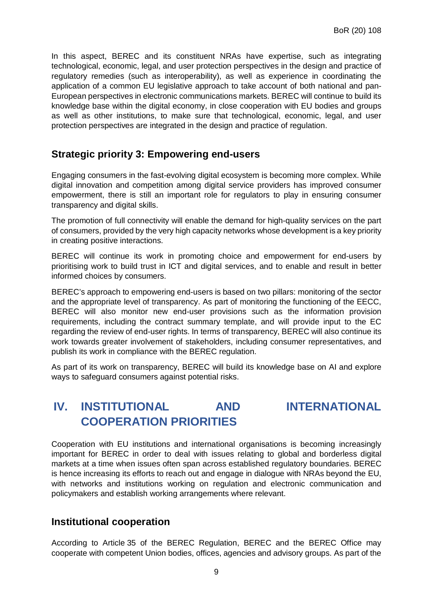In this aspect, BEREC and its constituent NRAs have expertise, such as integrating technological, economic, legal, and user protection perspectives in the design and practice of regulatory remedies (such as interoperability), as well as experience in coordinating the application of a common EU legislative approach to take account of both national and pan-European perspectives in electronic communications markets. BEREC will continue to build its knowledge base within the digital economy, in close cooperation with EU bodies and groups as well as other institutions, to make sure that technological, economic, legal, and user protection perspectives are integrated in the design and practice of regulation.

#### <span id="page-9-0"></span>**Strategic priority 3: Empowering end-users**

Engaging consumers in the fast-evolving digital ecosystem is becoming more complex. While digital innovation and competition among digital service providers has improved consumer empowerment, there is still an important role for regulators to play in ensuring consumer transparency and digital skills.

The promotion of full connectivity will enable the demand for high-quality services on the part of consumers, provided by the very high capacity networks whose development is a key priority in creating positive interactions.

BEREC will continue its work in promoting choice and empowerment for end-users by prioritising work to build trust in ICT and digital services, and to enable and result in better informed choices by consumers.

BEREC's approach to empowering end-users is based on two pillars: monitoring of the sector and the appropriate level of transparency. As part of monitoring the functioning of the EECC, BEREC will also monitor new end-user provisions such as the information provision requirements, including the contract summary template, and will provide input to the EC regarding the review of end-user rights. In terms of transparency, BEREC will also continue its work towards greater involvement of stakeholders, including consumer representatives, and publish its work in compliance with the BEREC regulation.

As part of its work on transparency, BEREC will build its knowledge base on AI and explore ways to safeguard consumers against potential risks.

## <span id="page-9-1"></span>**IV. INSTITUTIONAL AND INTERNATIONAL COOPERATION PRIORITIES**

Cooperation with EU institutions and international organisations is becoming increasingly important for BEREC in order to deal with issues relating to global and borderless digital markets at a time when issues often span across established regulatory boundaries. BEREC is hence increasing its efforts to reach out and engage in dialogue with NRAs beyond the EU, with networks and institutions working on regulation and electronic communication and policymakers and establish working arrangements where relevant.

#### <span id="page-9-2"></span>**Institutional cooperation**

According to Article 35 of the BEREC Regulation, BEREC and the BEREC Office may cooperate with competent Union bodies, offices, agencies and advisory groups. As part of the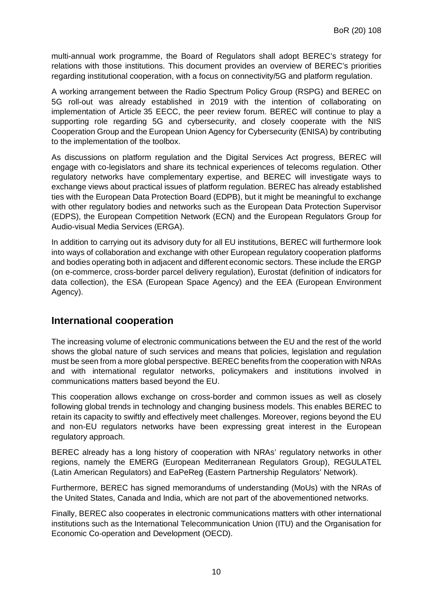multi-annual work programme, the Board of Regulators shall adopt BEREC's strategy for relations with those institutions. This document provides an overview of BEREC's priorities regarding institutional cooperation, with a focus on connectivity/5G and platform regulation.

A working arrangement between the Radio Spectrum Policy Group (RSPG) and BEREC on 5G roll-out was already established in 2019 with the intention of collaborating on implementation of Article 35 EECC, the peer review forum. BEREC will continue to play a supporting role regarding 5G and cybersecurity, and closely cooperate with the NIS Cooperation Group and the European Union Agency for Cybersecurity (ENISA) by contributing to the implementation of the toolbox.

As discussions on platform regulation and the Digital Services Act progress, BEREC will engage with co-legislators and share its technical experiences of telecoms regulation. Other regulatory networks have complementary expertise, and BEREC will investigate ways to exchange views about practical issues of platform regulation. BEREC has already established ties with the European Data Protection Board (EDPB), but it might be meaningful to exchange with other regulatory bodies and networks such as the European Data Protection Supervisor (EDPS), the European Competition Network (ECN) and the European Regulators Group for Audio-visual Media Services (ERGA).

In addition to carrying out its advisory duty for all EU institutions, BEREC will furthermore look into ways of collaboration and exchange with other European regulatory cooperation platforms and bodies operating both in adjacent and different economic sectors. These include the ERGP (on e-commerce, cross-border parcel delivery regulation), Eurostat (definition of indicators for data collection), the ESA (European Space Agency) and the EEA (European Environment Agency).

#### <span id="page-10-0"></span>**International cooperation**

The increasing volume of electronic communications between the EU and the rest of the world shows the global nature of such services and means that policies, legislation and regulation must be seen from a more global perspective. BEREC benefits from the cooperation with NRAs and with international regulator networks, policymakers and institutions involved in communications matters based beyond the EU.

This cooperation allows exchange on cross-border and common issues as well as closely following global trends in technology and changing business models. This enables BEREC to retain its capacity to swiftly and effectively meet challenges. Moreover, regions beyond the EU and non-EU regulators networks have been expressing great interest in the European regulatory approach.

BEREC already has a long history of cooperation with NRAs' regulatory networks in other regions, namely the EMERG (European Mediterranean Regulators Group), REGULATEL (Latin American Regulators) and EaPeReg (Eastern Partnership Regulators' Network).

Furthermore, BEREC has signed memorandums of understanding (MoUs) with the NRAs of the United States, Canada and India, which are not part of the abovementioned networks.

Finally, BEREC also cooperates in electronic communications matters with other international institutions such as the International Telecommunication Union (ITU) and the Organisation for Economic Co-operation and Development (OECD).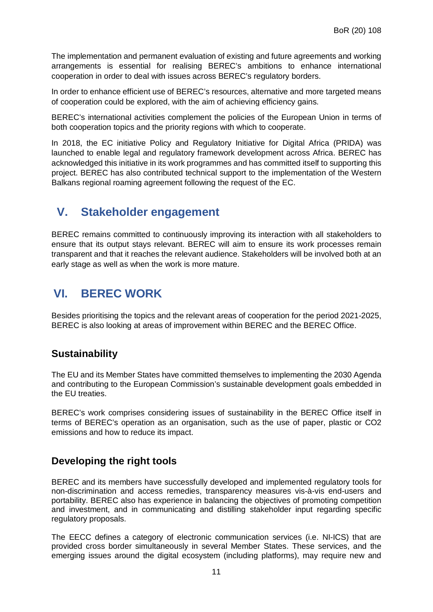The implementation and permanent evaluation of existing and future agreements and working arrangements is essential for realising BEREC's ambitions to enhance international cooperation in order to deal with issues across BEREC's regulatory borders.

In order to enhance efficient use of BEREC's resources, alternative and more targeted means of cooperation could be explored, with the aim of achieving efficiency gains.

BEREC's international activities complement the policies of the European Union in terms of both cooperation topics and the priority regions with which to cooperate.

In 2018, the EC initiative Policy and Regulatory Initiative for Digital Africa (PRIDA) was launched to enable legal and regulatory framework development across Africa. BEREC has acknowledged this initiative in its work programmes and has committed itself to supporting this project. BEREC has also contributed technical support to the implementation of the Western Balkans regional roaming agreement following the request of the EC.

## <span id="page-11-0"></span>**V. Stakeholder engagement**

BEREC remains committed to continuously improving its interaction with all stakeholders to ensure that its output stays relevant. BEREC will aim to ensure its work processes remain transparent and that it reaches the relevant audience. Stakeholders will be involved both at an early stage as well as when the work is more mature.

## <span id="page-11-1"></span>**VI. BEREC WORK**

Besides prioritising the topics and the relevant areas of cooperation for the period 2021-2025, BEREC is also looking at areas of improvement within BEREC and the BEREC Office.

### <span id="page-11-2"></span>**Sustainability**

The EU and its Member States have committed themselves to implementing the 2030 Agenda and contributing to the European Commission's sustainable development goals embedded in the EU treaties.

BEREC's work comprises considering issues of sustainability in the BEREC Office itself in terms of BEREC's operation as an organisation, such as the use of paper, plastic or CO2 emissions and how to reduce its impact.

### <span id="page-11-3"></span>**Developing the right tools**

BEREC and its members have successfully developed and implemented regulatory tools for non-discrimination and access remedies, transparency measures vis-à-vis end-users and portability. BEREC also has experience in balancing the objectives of promoting competition and investment, and in communicating and distilling stakeholder input regarding specific regulatory proposals.

The EECC defines a category of electronic communication services (i.e. NI-ICS) that are provided cross border simultaneously in several Member States. These services, and the emerging issues around the digital ecosystem (including platforms), may require new and